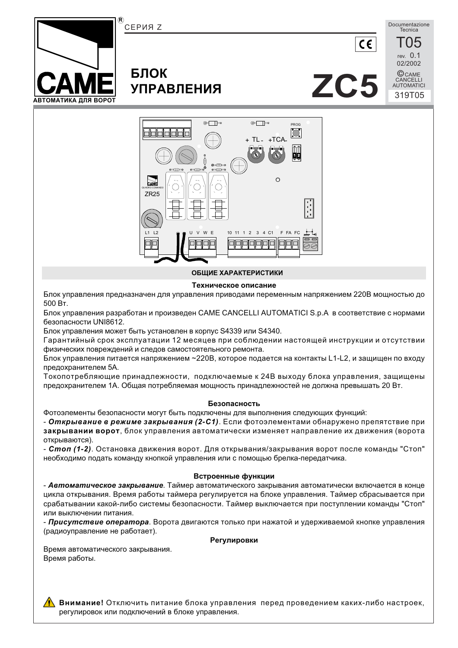

#### ОБШИЕ ХАРАКТЕРИСТИКИ

#### Техническое описание

Блок управления предназначен для управления приводами переменным напряжением 220В мощностью до 500 BT.

Блок управления разработан и произведен CAME CANCELLI AUTOMATICI S.p.A в соответствие с нормами безопасности UNI8612.

Блок управления может быть установлен в корпус S4339 или S4340.

Гарантийный срок эксплуатации 12 месяцев при соблюдении настоящей инструкции и отсутствии физических повреждений и следов самостоятельного ремонта.

Блок управления питается напряжением ~220В, которое подается на контакты L1-L2, и защищен по входу предохранителем 5А.

Токопотребляющие принадлежности, подключаемые к 24В выходу блока управления, защищены предохранителем 1А. Общая потребляемая мощность принадлежностей не должна превышать 20 Вт.

#### Безопасность

Фотоэлементы безопасности могут быть подключены для выполнения следующих функций:

- Открывание в режиме закрывания (2-С1). Если фотоэлементами обнаружено препятствие при закрывании ворот, блок управления автоматически изменяет направление их движения (ворота открываются).

- Стоп (1-2). Остановка движения ворот. Для открывания/закрывания ворот после команды "Стоп" необходимо подать команду кнопкой управления или с помощью брелка-передатчика.

#### Встроенные функции

- Автоматическое закрывание. Таймер автоматического закрывания автоматически включается в конце цикла открывания. Время работы таймера регулируется на блоке управления. Таймер сбрасывается при срабатывании какой-либо системы безопасности. Таймер выключается при поступлении команды "Стоп" или выключении питания.

- Присутствие оператора. Ворота двигаются только при нажатой и удерживаемой кнопке управления (радиоуправление не работает).

#### Регулировки

Время автоматического закрывания. Время работы.

**А Внимание!** Отключить питание блока управления перед проведением каких-либо настроек. регулировок или подключений в блоке управления.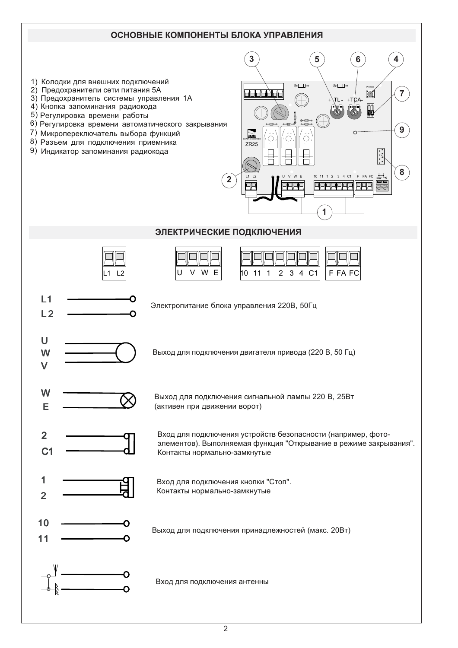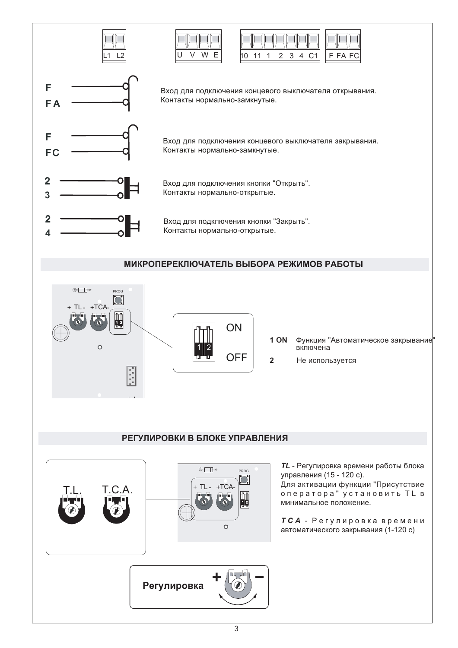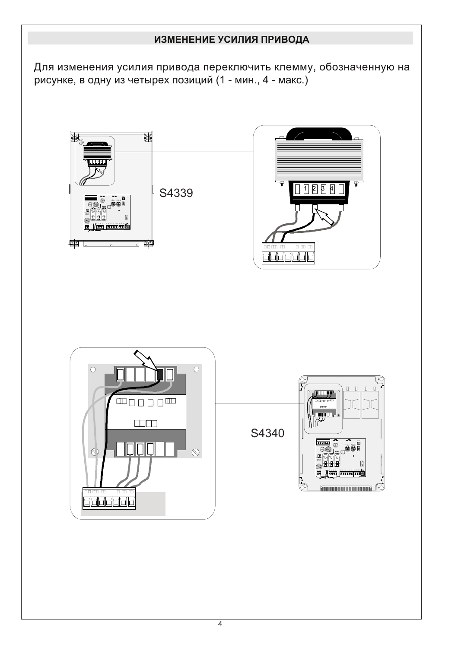# ИЗМЕНЕНИЕ УСИЛИЯ ПРИВОДА

Для изменения усилия привода переключить клемму, обозначенную на рисунке, в одну из четырех позиций (1 - мин., 4 - макс.)

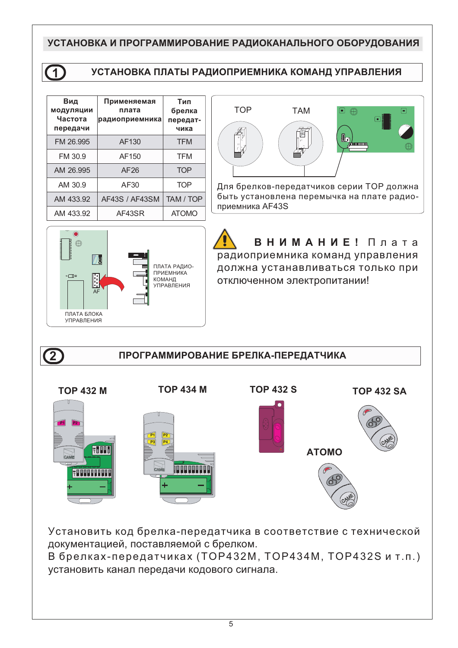## УСТАНОВКА И ПРОГРАММИРОВАНИЕ РАДИОКАНАЛЬНОГО ОБОРУДОВАНИЯ



## **ɍɋɌȺɇɈȼɄȺɉɅȺɌɕɊȺȾɂɈɉɊɂȿɆɇɂɄȺɄɈɆȺɇȾɍɉɊȺȼɅȿɇɂə**

| Вид<br><b>МОДУЛЯЦИИ</b><br>Частота<br>передачи | Применяемая<br>плата<br>радиоприемника | Тип<br>брелка<br>передат-<br>чика |
|------------------------------------------------|----------------------------------------|-----------------------------------|
| FM 26.995                                      | AF130                                  | <b>TFM</b>                        |
| FM 30.9                                        | AF150                                  | <b>TFM</b>                        |
| AM 26.995                                      | AF26                                   | <b>TOP</b>                        |
| AM 30.9                                        | AF30                                   | <b>TOP</b>                        |
| AM 433.92                                      | AF43S / AF43SM                         | TAM / TOP                         |
| AM 433.92                                      | AF43SR                                 | <b>ATOMO</b>                      |



Для брелков-передатчиков серии ТОР должна быть установлена перемычка на плате радиоприемника AF43S



# ВНИМАНИЕ! Плата радиоприемника команд управления

должна устанавливаться только при отключенном электропитании!

 $\overline{2}$ 

### ПРОГРАММИРОВАНИЕ БРЕЛКА-ПЕРЕДАТЧИКА

**TOP 432 M COP 434 M TOP 432 S TOP 432 SA TOP 432 S P1** P2 **P1 P2 P3** P4 1 2 3 4 **ȺɌɈɆɈ** <u> 1999 - 1999 - 1999 - 1999 - 1999 - 1999 - 1999 - 1999 - 1999 - 1999 - 1999 - 1999 - 1999 - 1999 - 1999 - 19</u> 1 2 3 4 5 6 7 8 9 10 1 2 3 4 5 6 7 8 9 10

Установить код брелка-передатчика в соответствие с технической документацией, поставляемой с брелком.

В брелках-передатчиках (ТОР432М, ТОР434М, ТОР432S и т.п.) установить канал передачи кодового сигнала.